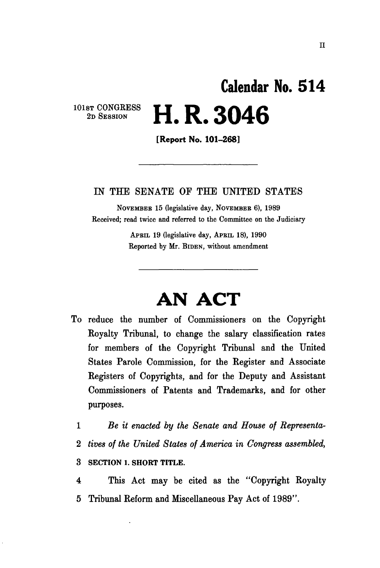## 101st CONGRESS 2D SESSION **Calendar No. 51 4 H. R. 3046**

[Report No. 101-268]

## IN THE SENATE OF THE UNITED STATES

NOVEMBER 15 (legislative day, NOVEMBEE 6), 1989 Received; read twice and referred to the Committee on the Judiciary

> APEIL 19 (legislative day, APBIL 18), 1990 Reported by Mr. BIDEN, without amendment

## **AN ACT**

To reduce the number of Commissioners on the Copyright Royalty Tribunal, to change the salary classification rates for members of the Copyright Tribunal and the United States Parole Commission, for the Register and Associate Registers of Copyrights, and for the Deputy and Assistant Commissioners of Patents and Trademarks, and for other purposes.

1 *Be it enacted by the Senate and House of Representa-*2 *tives of the United States of America in Congress assembled,*  3 SECTION 1. SHORT TITLE.

4 This Act may be cited as the "Copyright Royalty 5 Tribunal Reform and Miscellaneous Pay Act of 1989".

n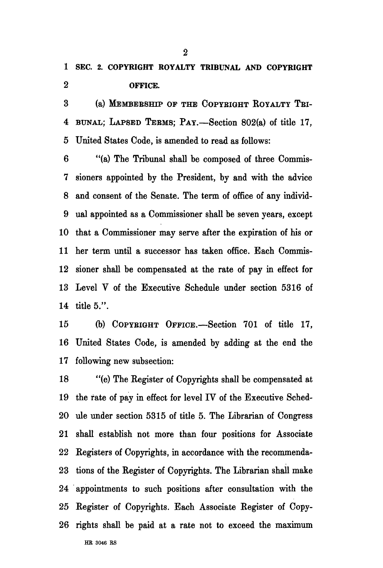**1 SEC. 2. COPYRIGHT ROYALTY TRIBUNAL AND COPYRIGHT 2 OFFICE.** 

3 (a) MEMBEESHIP OP THE COPYEIGHT ROYALTY TBI-4 BUNAL; LAPSED TEEMS; PAY.—Section 802(a) of title 17, 5 United States Code, is amended to read as follows:

6 "(a) The Tribunal shall be composed of three Commis-7 sioners appointed by the President, by and with the advice 8 and consent of the Senate. The term of office of any individ-9 ual appointed as a Commissioner shall be seven years, except 10 that a Commissioner may serve after the expiration of his or 11 her term until a successor has taken office. Each Commis-12 sioner shall be compensated at the rate of pay in effect for 13 Level V of the Executive Schedule under section 5316 of 14 title 5.".

15 (b) COPYRIGHT OFFICE.—Section 701 of title 17, 16 United States Code, is amended by adding at the end the 17 following new subsection:

18 "(e) The Register of Copyrights shall be compensated at 19 the rate of pay in effect for level IV of the Executive Sched-20 ule under section 5315 of title 5. The Librarian of Congress 21 shall establish not more than four positions for Associate 22 Registers of Copyrights, in accordance with the recommenda-23 tions of the Register of Copyrights. The Librarian shall make 24 appointments to such positions after consultation with the 25 Register of Copyrights. Each Associate Register of Copy-26 rights shall be paid at a rate not to exceed the maximum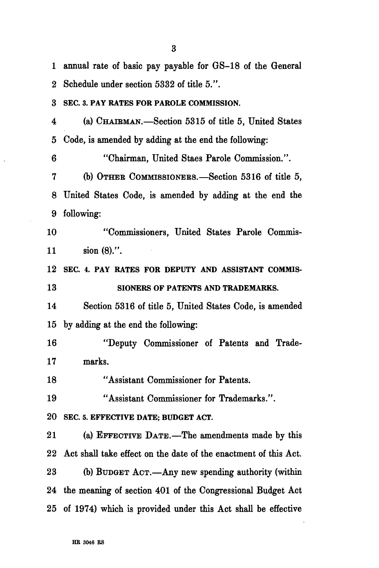1 annual rate of basic pay payable for GS-18 of the General 2 Schedule under section 5332 of title 5.". **3 SEC. 3. PAY RATES FOR PAROLE COMMISSION.**  4 (a) CHAIEMAN.—Section 5315 of title 5, United States 5 Code, is amended by adding at the end the following: 6 "Chairman, United Staes Parole Commission.". 7 (b) OTHEB COMMISSIONEES.—Section 5316 of title 5, 8 United States Code, is amended by adding at the end the 9 following: 10 "Commissioners, United States Parole Commis-11 sion (8).". **12 SEC. 4. PAY RATES FOR DEPUTY AND ASSISTANT COMMIS-13 SIONERS OF PATENTS AND TRADEMARKS.**  14 Section 5316 of title 5, United States Code, is amended 15 by adding at the end the following: 16 "Deputy Commissioner of Patents and Trade-17 marks. 18 "Assistant Commissioner for Patents. 19 "Assistant Commissioner for Trademarks.". **20 SEC. 5. EFFECTIVE DATE; BUDGET ACT.**  21 (a) EFFECTIVE DATE.—The amendments made by this 22 Act shall take effect on the date of the enactment of this Act. 23 (b) BUDGET ACT.—Any new spending authority (within 24 the meaning of section 401 of the Congressional Budget Act 25 of 1974) which is provided under this Act shall be effective